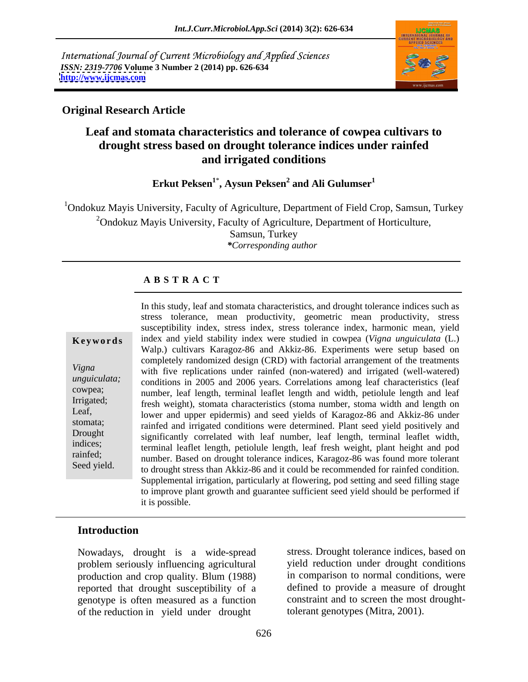International Journal of Current Microbiology and Applied Sciences *ISSN: 2319-7706* **Volume 3 Number 2 (2014) pp. 626-634 <http://www.ijcmas.com>**



### **Original Research Article**

## **Leaf and stomata characteristics and tolerance of cowpea cultivars to drought stress based on drought tolerance indices under rainfed and irrigated conditions**

**Erkut Peksen<sup>1</sup>**\* **, Aysun Peksen<sup>2</sup> and Ali Gulumser<sup>1</sup>**

<sup>1</sup>Ondokuz Mayis University, Faculty of Agriculture, Department of Field Crop, Samsun, Turkey  $2$ Ondokuz Mayis University, Faculty of Agriculture, Department of Horticulture,

Samsun, Turkey *\*Corresponding author* 

## **A B S T R A C T**

**Ke ywo rds** index and yield stability index were studied in cowpea (*Vigna unguiculata* (L.) *Vigna*  with five replications under rainfed (non-watered) and irrigated (well-watered) *unguiculata*; conditions in 2005 and 2006 years. Correlations among leaf characteristics (leaf cowpea;<br>
number, leaf length, terminal leaflet length and width, petiolule length and leaf Irrigated;<br>
fresh weight), stomata characteristics (stoma number, stoma width and length on Leaf,<br>lower and upper epidermis) and seed yields of Karagoz-86 and Akkiz-86 under stomata; rainfed and irrigated conditions were determined. Plant seed yield positively and Drought significantly correlated with leaf number, leaf length, terminal leaflet width, indices; terminal leaflet length, petiolule length, leaf fresh weight, plant height and pod rainfed;<br>
number. Based on drought tolerance indices, Karagoz-86 was found more tolerant In this study, leaf and stomata characteristics, and drought tolerance indices such as<br>
stress tolerance, mean productivity, geometric mean productivity, stress<br>
susceptibility index were studied in cowpea (*Vigna unguicul* stress tolerance, mean productivity, geometric mean productivity, stress susceptibility index, stress index, stress tolerance index, harmonic mean, yield Walp.) cultivars Karagoz-86 and Akkiz-86. Experiments were setup based on completely randomized design (CRD) with factorial arrangement of the treatments to drought stress than Akkiz-86 and it could be recommended for rainfed condition. Supplemental irrigation, particularly at flowering, pod setting and seed filling stage to improve plant growth and guarantee sufficient seed yield should be performed if it is possible.

### **Introduction**

Nowadays, drought is a wide-spread production and crop quality. Blum (1988) reported that drought susceptibility of a genotype is often measured as a function of the reduction in yield under drought

problem seriously influencing agricultural yield reduction under drought conditions stress. Drought tolerance indices, based on in comparison to normal conditions, were defined to provide a measure of drought constraint and to screen the most droughttolerant genotypes (Mitra, 2001).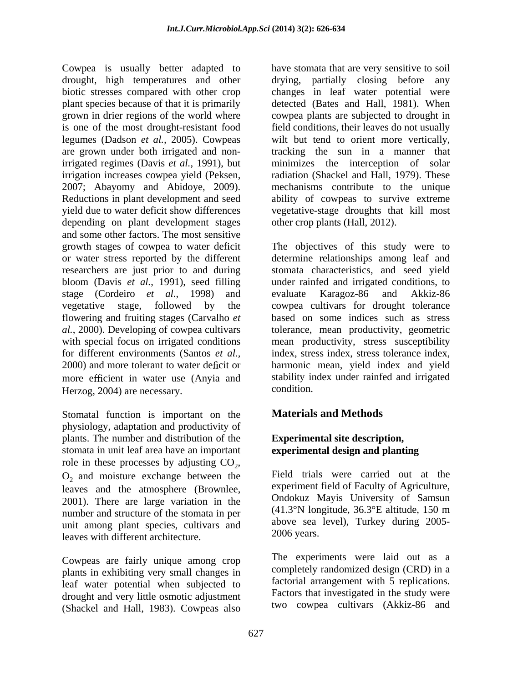Cowpea is usually better adapted to drought, high temperatures and other drying, partially closing before any biotic stresses compared with other crop changes in leaf water potential were plant species because of that it is primarily detected (Bates and Hall, 1981). When grown in drier regions of the world where cowpea plants are subjected to drought in is one of the most drought-resistant food field conditions, their leaves do not usually legumes (Dadson *et al.,* 2005). Cowpeas wilt but tend to orient more vertically, are grown under both irrigated and non-tracking the sun in a manner that irrigated regimes (Davis *et al.*, 1991), but minimizes the interception of solar irrigation increases cowpea yield (Peksen, radiation (Shackel and Hall, 1979). These 2007; Abayomy and Abidoye, 2009). mechanisms contribute to the unique Reductions in plant development and seed ability of cowpeas to survive extreme yield due to water deficit show differences vegetative-stage droughts that kill most depending on plant development stages and some other factors. The most sensitive growth stages of cowpea to water deficit The objectives of this study were to or water stress reported by the different determine relationships among leaf and researchers are just prior to and during stomata characteristics, and seed yield bloom (Davis *et al.*, 1991), seed filling under rainfed and irrigated conditions, to stage (Cordeiro *et al.*, 1998) and vegetative stage, followed by the cowpea cultivars for drought tolerance flowering and fruiting stages (Carvalho *et*  based on some indices such as stress *al.*, 2000). Developing of cowpea cultivars tolerance, mean productivity, geometric with special focus on irrigated conditions mean productivity, stress susceptibility for different environments (Santos *et al.,* index, stress index, stress tolerance index, 2000) and more tolerant to water deficit or harmonic mean, yield index and yield more efficient in water use (Anyia and stability in<br>Herzog 2004) are necessary

Herzog, 2004) are necessary. <br>Stomatal function is important on the **Materials and Methods** physiology, adaptation and productivity of plants. The number and distribution of the stomata in unit leaf area have an important role in these processes by adjusting  $CO<sub>2</sub>$ , role in these processes by adjusting  $CO_2$ ,<br> $O_2$  and moisture exchange between the Field trials were carried out at the leaves and the atmosphere (Brownlee, 2001). There are large variation in the number and structure of the stomata in per unit among plant species, cultivars and above sea<br>leaves with different architecture 2006 years. leaves with different architecture.

plants in exhibiting very small changes in leaf water potential when subjected to drought and very little osmotic adjustment (Shackel and Hall, 1983). Cowpeas also

have stomata that are very sensitive to soil other crop plants (Hall, 2012).

evaluate Karagoz-86 and Akkiz-86 stability index under rainfed and irrigated condition.

# **Materials and Methods**

### **Experimental site description, experimental design and planting**

Field trials were carried out at the experiment field of Faculty of Agriculture, Ondokuz Mayis University of Samsun (41.3°N longitude, 36.3°E altitude, 150 m above sea level), Turkey during 2005-

Cowpeas are fairly unique among crop The experiments were laid out as a 2006 years. The experiments were laid out as <sup>a</sup> completely randomized design (CRD) in a factorial arrangement with 5 replications. Factors that investigated in the study were two cowpea cultivars (Akkiz-86 and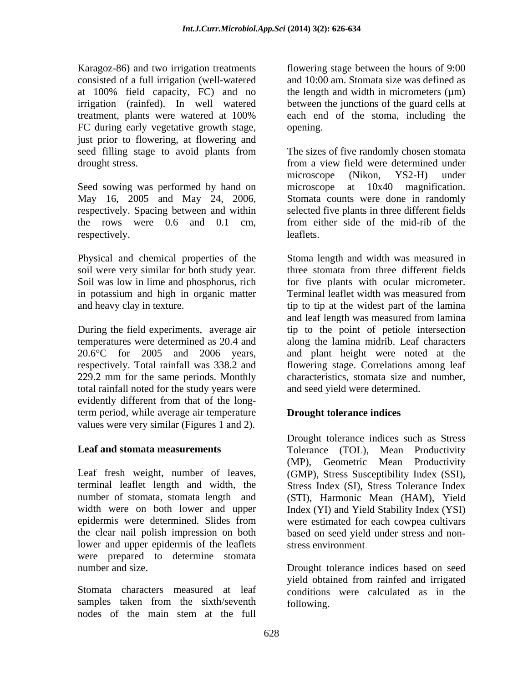Karagoz-86) and two irrigation treatments consisted of a full irrigation (well-watered at 100% field capacity, FC) and no the length and width in micrometers ( $\mu$ m) irrigation (rainfed). In well watered between the junctions of the guard cells at treatment, plants were watered at 100% FC during early vegetative growth stage, opening. just prior to flowering, at flowering and

Seed sowing was performed by hand on microscope at  $10x40$  magnification. May 16, 2005 and May 24, 2006, Stomata counts were done in randomly

soil were very similar for both study year. Three stomata from three different fields Soil was low in lime and phosphorus, rich in potassium and high in organic matter Terminal leaflet width was measured from

During the field experiments, average air 20.6°C for 2005 and 2006 years, 229.2 mm for the same periods. Monthly total rainfall noted for the study years were evidently different from that of the longterm period, while average air temperature values were very similar (Figures 1 and 2).

Leaf fresh weight, number of leaves, (GMP), Stress Susceptibility Index (SSI), terminal leaflet length and width, the Stress Index (SI), Stress Tolerance Index number of stomata, stomata length and (STI), Harmonic Mean (HAM), Yield width were on both lower and upper Index (YI) and Yield Stability Index (YSI) epidermis were determined. Slides from were estimated for each cowpea cultivars the clear nail polish impression on both based on seed yield under stress and non lower and upper epidermis of the leaflets were prepared to determine stomata

samples taken from the sixth/seventh nodes of the main stem at the full

flowering stage between the hours of 9:00 and 10:00 am. Stomata size was defined as the length and width in micrometers  $(\mu m)$ each end of the stoma, including the opening.

seed filling stage to avoid plants from The sizes of five randomly chosen stomata drought stress. from a view field were determined under respectively. Spacing between and within selected five plants in three different fields the rows were 0.6 and 0.1 cm, from either side of the mid-rib of the respectively. The leaflets. microscope (Nikon, YS2-H) under microscope at 10x40 magnification. Stomata counts were done in randomly leaflets.

Physical and chemical properties of the Stoma length and width was measured in and heavy clay in texture. tip to tip at the widest part of the lamina temperatures were determined as 20.4 and along the lamina midrib. Leaf characters respectively. Total rainfall was 338.2 and flowering stage. Correlations among leaf three stomata from three different fields for five plants with ocular micrometer. Terminal leaflet width was measured from and leaf length was measured from lamina tip to the point of petiole intersection and plant height were noted at the characteristics, stomata size and number, and seed yield were determined.

### **Drought tolerance indices**

**Leaf and stomata measurements** Tolerance (TOL), Mean Productivity Drought tolerance indices such as Stress (MP), Geometric Mean Productivity stress environment.

number and size. Drought tolerance indices based on seed Stomata characters measured at leaf conditions were calculated as in the yield obtained from rainfed and irrigated following.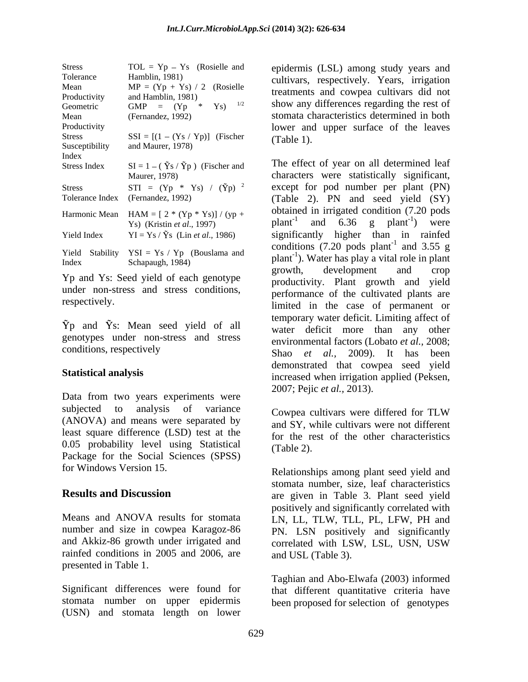| <b>Stress</b>        | $TOL = Yp - Ys$ (Rosielle and                                          | epidermis (LSL) among study years and                                           |
|----------------------|------------------------------------------------------------------------|---------------------------------------------------------------------------------|
| Tolerance            | Hamblin, 1981)<br>$MP = (Yp + Ys) / 2$ (Rosielle                       | cultivars, respectively. Years, irrigation                                      |
| Mean<br>Productivity | and Hamblin, 1981)                                                     | treatments and cowpea cultivars did not                                         |
| Geometric            | GMP = $(Yp * Ys)$ <sup>1/2</sup>                                       | show any differences regarding the rest of                                      |
| Mean                 | (Fernandez, 1992)                                                      | stomata characteristics determined in both                                      |
| Productivity         |                                                                        | lower and upper surface of the leaves                                           |
| <b>Stress</b>        | $SSI = [(1 - (Ys / Yp))]$ (Fischer                                     | $(Table 1)$ .                                                                   |
| Susceptibility       | and Maurer, 1978)                                                      |                                                                                 |
| Index                | $SI = 1 - (\tilde{Y}_S / \tilde{Y}_P)$ (Fischer and                    | The effect of year on all determined leaf                                       |
| Stress Index         | Maurer, 1978)                                                          | characters were statistically significant,                                      |
| <b>Stress</b>        | STI = $(Yp * Ys) / (\tilde{Y}p)^{-2}$                                  | except for pod number per plant (PN)                                            |
|                      | Tolerance Index (Fernandez, 1992)                                      | (Table 2). PN and seed yield (SY)                                               |
|                      |                                                                        |                                                                                 |
|                      | Harmonic Mean $HAM = [2 * (Yp * Ys)] / (yp +$                          | obtained in irrigated condition (7.20 pods                                      |
|                      | Ys) (Kristin et al., 1997)                                             | plant <sup>-1</sup> and $6.36$ g plant <sup>-1</sup> ) were                     |
| Yield Index          | $\text{YI} = \text{Ys} / \tilde{\text{Ys}}$ (Lin <i>et al.</i> , 1986) | significantly higher than in rainfed                                            |
|                      | Yield Stability $YSI = Ys / Yp$ (Bouslama and                          | conditions $(7.20 \text{ pools plant}^{-1} \text{ and } 3.55 \text{ g}$         |
| Index                | Schapaugh, 1984)                                                       | plant <sup>-1</sup> ). Water has play a vital role in plant                     |
|                      |                                                                        | dovelopment and aren<br>$\sim$ $\sim$ $\sim$ $\sim$ $\sim$ $\sim$ $\sim$ $\sim$ |

under non-stress and stress conditions,

 $\tilde{Y}p$  and  $\tilde{Y}s$ : Mean seed yield of all genotypes under non-stress and stress

Data from two years experiments were subjected to analysis of variance Cowpea cultivars were differed for TLW (ANOVA) and means were separated by least square difference (LSD) test at the 0.05 probability level using Statistical  $(Table 2)$ . Package for the Social Sciences (SPSS)

and Akkiz-86 growth under irrigated and correlated with LSW, LSL, USN, USW rainfed conditions in 2005 and 2006, are presented in Table 1.

Significant differences were found for stomata number on upper epidermis (USN) and stomata length on lower

Maurer, 1978) characters were statistically significant,  $Y_s$ ) (Kristin *et al.*, 1997)  $\mu$  plant<sup>-1</sup> and 6.36 g plant<sup>-1</sup>) were  $\text{Schapaugh}, 1984)$  Plant<sup>-1</sup>). Water has play a vital role in plant Yp and Ys: Seed yield of each genotype<br>
Yp and Ys: Seed yield of each genotype<br>  $\frac{1}{2}$  and  $\frac{1}{2}$  and  $\frac{1}{2}$  and  $\frac{1}{2}$  and  $\frac{1}{2}$ respectively. Initial in the case of permanent or conditions, respectively Shao *et al.,* 2009). It has been **Statistical analysis**<br>
increased when irrigation applied (Peksen, obtained in irrigated condition (7.20 pods ) were conditions  $(7.20 \text{ pools plant}^{-1}$  and 3.55 g and 3.55 g growth, development and crop productivity. Plant growth and yield performance of the cultivated plants are temporary water deficit. Limiting affect of water deficit more than any other environmental factors (Lobato *et al.,* 2008; demonstrated that cowpea seed yield 2007; Pejic *et al.,* 2013).

> Cowpea cultivars were differed for TLW and SY, while cultivars were not different for the rest of the other characteristics (Table 2).

for Windows Version 15. Relationships among plant seed yield and **Results and Discussion** are given in Table 3. Plant seed yield Means and ANOVA results for stomata LN, LL, TLW, TLL, PL, LFW, PH and number and size in cowpea Karagoz-86 PN. LSN positively and significantly stomata number, size, leaf characteristics positively and significantly correlated with correlated with LSW, LSL, USN, USW and USL (Table 3).

> Taghian and Abo-Elwafa (2003) informed that different quantitative criteria have been proposed for selection of genotypes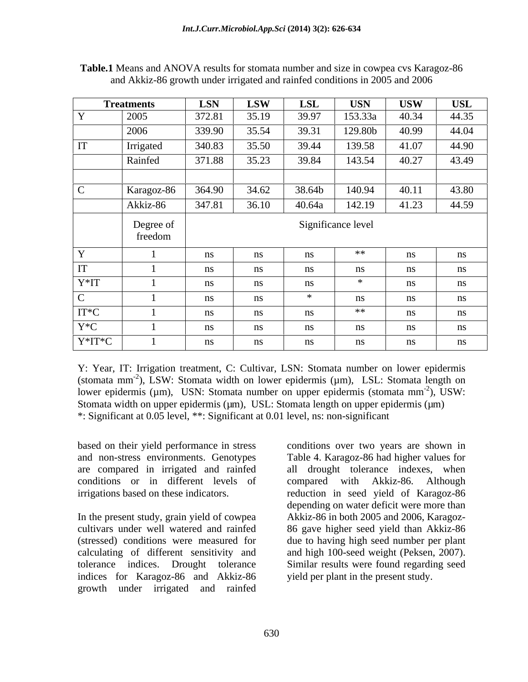|                                              | <b>Treatments</b>    | LSN    | <b>LSW</b> | $\bf LSL$ | <b>USN</b>         | <b>USW</b> | USL   |
|----------------------------------------------|----------------------|--------|------------|-----------|--------------------|------------|-------|
|                                              | 2005                 | 372.81 | 35.19      | 39.97     | 153.33a            | 40.34      | 44.35 |
|                                              | 2006                 | 339.90 | 35.54      | 39.31     | 129.80b            | 40.99      | 44.04 |
|                                              | Irrigated            | 340.83 | 35.50      | 39.44     | 139.58             | 41.07      | 44.90 |
|                                              | Rainfed              | 371.88 | 35.23      | 39.84     | 143.54             | 40.27      | 43.49 |
|                                              |                      |        |            |           |                    |            |       |
|                                              | Karagoz-86           | 364.90 | 34.62      | 38.64b    | 140.94             | 40.11      | 43.80 |
|                                              | Akkiz-86             | 347.81 | 36.10      | 40.64a    | 142.19             | 41.23      | 44.59 |
|                                              |                      |        |            |           |                    |            |       |
|                                              | Degree of<br>freedom |        |            |           | Significance level |            |       |
|                                              |                      |        |            |           |                    |            |       |
|                                              |                      |        |            |           |                    |            |       |
| the control of the control of the control of |                      | ns     | ns         | 11S       | **                 | ns         | ns    |
|                                              |                      | ns     | ns         |           | ns                 |            | ns    |
| Y*IT                                         |                      | ns     | ns         |           | *                  |            | ns    |
|                                              |                      | ns     | ns         | - sk      | ns                 |            | ns    |
|                                              |                      | ns     | ns         |           | **                 |            | ns    |
| $\boxed{\text{IT*C}}$<br>$\overline{Y^*C}$   |                      | ns     | ns         | - 11S     | ns                 |            | ns    |

**Table.1** Means and ANOVA results for stomata number and size in cowpea cvs Karagoz-86 and Akkiz-86 growth under irrigated and rainfed conditions in 2005 and 2006

Y: Year, IT: Irrigation treatment, C: Cultivar, LSN: Stomata number on lower epidermis (stomata mm<sup>-2</sup>), LSW: Stomata width on lower epidermis (µm), LSL: Stomata length on lower epidermis ( $\mu$ m), USN: Stomata number on upper epidermis (stomata mm<sup>-2</sup>), USW:  $-2\sqrt{I}$  IIGW. ), USW: Stomata width on upper epidermis  $(\mu m)$ , USL: Stomata length on upper epidermis  $(\mu m)$ \*: Significant at 0.05 level, \*\*: Significant at 0.01 level, ns: non-significant

conditions or in different levels of compared with Akkiz-86. Although

In the present study, grain yield of cowpea Akkiz-86 in both 2005 and 2006, Karagoz cultivars under well watered and rainfed 86 gave higher seed yield than Akkiz-86 (stressed) conditions were measured for due to having high seed number per plant calculating of different sensitivity and and high 100-seed weight (Peksen, 2007). tolerance indices. Drought tolerance Similar results were found regarding seed indices for Karagoz-86 and Akkiz-86 growth under irrigated and rainfed

based on their yield performance in stress conditions over two years are shown in and non-stress environments. Genotypes Table 4. Karagoz-86 had higher values for are compared in irrigated and rainfed all drought tolerance indexes, when irrigations based on these indicators. reduction in seed yield of Karagoz-86 compared with Akkiz-86. Although depending on water deficit were more than yield per plant in the present study.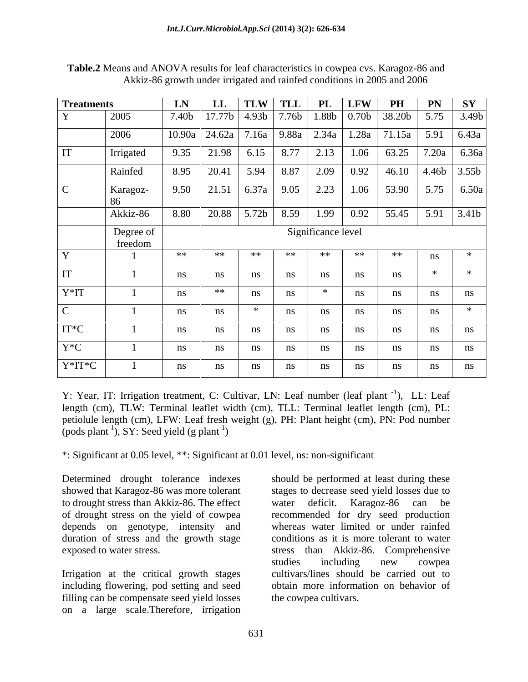| <b>Treatments</b> |                      | LN | $\mathbf{L}\mathbf{L}$ |     | TLW TLL PL LFW PH PN SY                                 |    |    |         |                |
|-------------------|----------------------|----|------------------------|-----|---------------------------------------------------------|----|----|---------|----------------|
|                   | 2005                 |    |                        |     | 7.40b 17.77b 4.93b 7.76b 1.88b 0.70b 38.20b 5.75 3.49b  |    |    |         |                |
|                   | 2006                 |    |                        |     | 10.90a 24.62a 7.16a 9.88a 2.34a 1.28a 71.15a 5.91 6.43a |    |    |         |                |
|                   | Irrigated            |    |                        |     | 9.35 21.98 6.15 8.77 2.13 1.06 63.25 7.20a 6.36a        |    |    |         |                |
|                   | Rainfed              |    |                        |     | 8.95 20.41 5.94 8.87 2.09 0.92 46.10 4.46b 3.55b        |    |    |         |                |
|                   | Karagoz-             |    |                        |     | 9.50 21.51 6.37a 9.05 2.23 1.06 53.90 5.75 6.50a        |    |    |         |                |
|                   | Akkiz-86             |    |                        |     | 8.80 20.88 5.72b 8.59 1.99 0.92 55.45 5.91 3.41b        |    |    |         |                |
|                   | Degree of<br>freedom |    |                        |     | Significance level                                      |    |    |         |                |
|                   |                      | ** | **                     | **  | **<br>**                                                | ** | ** |         |                |
|                   |                      | ns |                        | ns  |                                                         |    | ns | ่ ⊁ะ    |                |
| $V*IT$            |                      | ns | **                     |     | — ≯k                                                    |    | nc | $n_{S}$ |                |
|                   |                      | ns |                        | * * |                                                         |    |    | ns      |                |
|                   |                      |    |                        |     |                                                         |    | ns |         |                |
| IT*C              |                      | ns |                        | ns. | ns.                                                     |    | ns | ns      | ns             |
| $Y^*C$            |                      | ns |                        |     |                                                         |    | ns | ns      | n <sub>S</sub> |

**Table.2** Means and ANOVA results for leaf characteristics in cowpea cvs. Karagoz-86 and Akkiz-86 growth under irrigated and rainfed conditions in 2005 and 2006

Y: Year, IT: Irrigation treatment, C: Cultivar, LN: Leaf number (leaf plant <sup>-1</sup>), LL: Leaf ), LL: Leaf length (cm), TLW: Terminal leaflet width (cm), TLL: Terminal leaflet length (cm), PL: petiolule length (cm), LFW: Leaf fresh weight (g), PH: Plant height (cm), PN: Pod number (pods plant<sup>-1</sup>), SY: Seed yield (g plant<sup>-1</sup>)  $(x, SY)$ : Seed yield (g plant<sup>-1</sup>) ) and the contract of  $\mathcal{L}$ 

\*: Significant at 0.05 level, \*\*: Significant at 0.01 level, ns: non-significant

to drought stress than Akkiz-86. The effect water deficit. Karagoz-86 can be of drought stress on the yield of cowpea depends on genotype, intensity and duration of stress and the growth stage

Irrigation at the critical growth stages including flowering, pod setting and seed filling can be compensate seed yield losses on a large scale.Therefore, irrigation

Determined drought tolerance indexes should be performed at least during these showed that Karagoz-86 was more tolerant stages to decrease seed yield losses due to exposed to water stress. stress than Akkiz-86. Comprehensive water deficit. Karagoz-86 can be recommended for dry seed production whereas water limited or under rainfed conditions as it is more tolerant to water studies including new cowpea cultivars/lines should be carried out to obtain more information on behavior of the cowpea cultivars.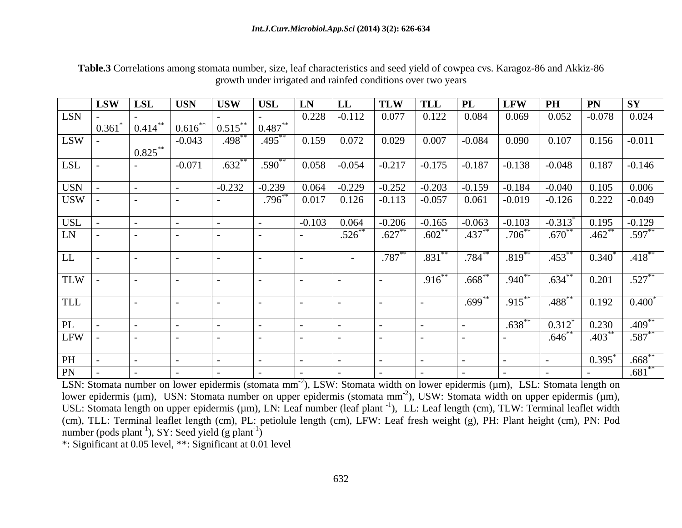| <b>PN</b> SY<br>LSW LSL<br>$\vert$ TLW $\vert$ TLL $\vert$ PL<br>$LFW$ PH<br>$\vert$ USN<br>$\overline{\phantom{a}}$ USW<br>$\vert$ USL<br> LN LL<br>$\boxed{0.228}$<br>0.825<br>$\frac{1}{632^{**}}$<br>$-0.071$<br>$\vert$ -0.232 $\vert$ -0.239 $\vert$ 0.064 $\vert$ -0.229 $\vert$ -0.252 $\vert$ -0.203 $\vert$ -0.159 $\vert$ -0.184 $\vert$ -0.040 $\vert$ 0.105 $\vert$ 0.006<br>$796^{**}$ 0.017 0.126 -0.113 -0.057 0.061 -0.019 -0.126 0.222 -0.049<br>$.784***$<br>$.787***$<br> .819<br>$-453^{**}$ $0.340^{*}$ $.418^{**}$<br>$\overline{.831}^{**}$<br>$1.916^{**}$<br>$-668$ $.940$ $^{**}$<br>$\begin{array}{ c c c c c c c c } \hline .634 & 0.201 & .527 \hline \end{array}$<br>$\sqrt{699}^{**}$<br>$-915$<br>$-488$ $+ 0.192$ $0.400$ $+ 0.400$<br>$\begin{array}{ c c c c c c }\hline .638^{**} & 0.312^{*} & 0.230 & .409^{**} \ \hline - & .646^{**} & .403^{**} & .587^{**} \ \hline \end{array}$<br>$0.395^*$ .668 <sup>**</sup><br>$\overline{\phantom{a}}$ |  |  |  |  |  |  |  |                     |
|-----------------------------------------------------------------------------------------------------------------------------------------------------------------------------------------------------------------------------------------------------------------------------------------------------------------------------------------------------------------------------------------------------------------------------------------------------------------------------------------------------------------------------------------------------------------------------------------------------------------------------------------------------------------------------------------------------------------------------------------------------------------------------------------------------------------------------------------------------------------------------------------------------------------------------------------------------------------------------------------|--|--|--|--|--|--|--|---------------------|
| $LSN$ -<br>LL<br>TLW  <br>TLL<br>$\overline{\text{PL}}$<br>PH                                                                                                                                                                                                                                                                                                                                                                                                                                                                                                                                                                                                                                                                                                                                                                                                                                                                                                                           |  |  |  |  |  |  |  |                     |
| $LSW$  -<br>$LSL$ -<br>USN  <br>USW  <br>$USL$  <br>$LN \cdot$ .<br>LFW  <br>$PN$ -                                                                                                                                                                                                                                                                                                                                                                                                                                                                                                                                                                                                                                                                                                                                                                                                                                                                                                     |  |  |  |  |  |  |  |                     |
|                                                                                                                                                                                                                                                                                                                                                                                                                                                                                                                                                                                                                                                                                                                                                                                                                                                                                                                                                                                         |  |  |  |  |  |  |  |                     |
|                                                                                                                                                                                                                                                                                                                                                                                                                                                                                                                                                                                                                                                                                                                                                                                                                                                                                                                                                                                         |  |  |  |  |  |  |  |                     |
|                                                                                                                                                                                                                                                                                                                                                                                                                                                                                                                                                                                                                                                                                                                                                                                                                                                                                                                                                                                         |  |  |  |  |  |  |  |                     |
|                                                                                                                                                                                                                                                                                                                                                                                                                                                                                                                                                                                                                                                                                                                                                                                                                                                                                                                                                                                         |  |  |  |  |  |  |  |                     |
|                                                                                                                                                                                                                                                                                                                                                                                                                                                                                                                                                                                                                                                                                                                                                                                                                                                                                                                                                                                         |  |  |  |  |  |  |  |                     |
|                                                                                                                                                                                                                                                                                                                                                                                                                                                                                                                                                                                                                                                                                                                                                                                                                                                                                                                                                                                         |  |  |  |  |  |  |  |                     |
|                                                                                                                                                                                                                                                                                                                                                                                                                                                                                                                                                                                                                                                                                                                                                                                                                                                                                                                                                                                         |  |  |  |  |  |  |  |                     |
|                                                                                                                                                                                                                                                                                                                                                                                                                                                                                                                                                                                                                                                                                                                                                                                                                                                                                                                                                                                         |  |  |  |  |  |  |  |                     |
|                                                                                                                                                                                                                                                                                                                                                                                                                                                                                                                                                                                                                                                                                                                                                                                                                                                                                                                                                                                         |  |  |  |  |  |  |  |                     |
|                                                                                                                                                                                                                                                                                                                                                                                                                                                                                                                                                                                                                                                                                                                                                                                                                                                                                                                                                                                         |  |  |  |  |  |  |  |                     |
|                                                                                                                                                                                                                                                                                                                                                                                                                                                                                                                                                                                                                                                                                                                                                                                                                                                                                                                                                                                         |  |  |  |  |  |  |  |                     |
|                                                                                                                                                                                                                                                                                                                                                                                                                                                                                                                                                                                                                                                                                                                                                                                                                                                                                                                                                                                         |  |  |  |  |  |  |  |                     |
|                                                                                                                                                                                                                                                                                                                                                                                                                                                                                                                                                                                                                                                                                                                                                                                                                                                                                                                                                                                         |  |  |  |  |  |  |  |                     |
|                                                                                                                                                                                                                                                                                                                                                                                                                                                                                                                                                                                                                                                                                                                                                                                                                                                                                                                                                                                         |  |  |  |  |  |  |  |                     |
|                                                                                                                                                                                                                                                                                                                                                                                                                                                                                                                                                                                                                                                                                                                                                                                                                                                                                                                                                                                         |  |  |  |  |  |  |  |                     |
|                                                                                                                                                                                                                                                                                                                                                                                                                                                                                                                                                                                                                                                                                                                                                                                                                                                                                                                                                                                         |  |  |  |  |  |  |  |                     |
|                                                                                                                                                                                                                                                                                                                                                                                                                                                                                                                                                                                                                                                                                                                                                                                                                                                                                                                                                                                         |  |  |  |  |  |  |  |                     |
|                                                                                                                                                                                                                                                                                                                                                                                                                                                                                                                                                                                                                                                                                                                                                                                                                                                                                                                                                                                         |  |  |  |  |  |  |  |                     |
|                                                                                                                                                                                                                                                                                                                                                                                                                                                                                                                                                                                                                                                                                                                                                                                                                                                                                                                                                                                         |  |  |  |  |  |  |  |                     |
|                                                                                                                                                                                                                                                                                                                                                                                                                                                                                                                                                                                                                                                                                                                                                                                                                                                                                                                                                                                         |  |  |  |  |  |  |  |                     |
|                                                                                                                                                                                                                                                                                                                                                                                                                                                                                                                                                                                                                                                                                                                                                                                                                                                                                                                                                                                         |  |  |  |  |  |  |  |                     |
|                                                                                                                                                                                                                                                                                                                                                                                                                                                                                                                                                                                                                                                                                                                                                                                                                                                                                                                                                                                         |  |  |  |  |  |  |  |                     |
|                                                                                                                                                                                                                                                                                                                                                                                                                                                                                                                                                                                                                                                                                                                                                                                                                                                                                                                                                                                         |  |  |  |  |  |  |  |                     |
|                                                                                                                                                                                                                                                                                                                                                                                                                                                                                                                                                                                                                                                                                                                                                                                                                                                                                                                                                                                         |  |  |  |  |  |  |  |                     |
|                                                                                                                                                                                                                                                                                                                                                                                                                                                                                                                                                                                                                                                                                                                                                                                                                                                                                                                                                                                         |  |  |  |  |  |  |  |                     |
|                                                                                                                                                                                                                                                                                                                                                                                                                                                                                                                                                                                                                                                                                                                                                                                                                                                                                                                                                                                         |  |  |  |  |  |  |  |                     |
|                                                                                                                                                                                                                                                                                                                                                                                                                                                                                                                                                                                                                                                                                                                                                                                                                                                                                                                                                                                         |  |  |  |  |  |  |  | $.681$ <sup>*</sup> |

**Table.3** Correlations among stomata number, size, leaf characteristics and seed yield of cowpea cvs. Karagoz-86 and Akkiz-86 growth under irrigated and rainfed conditions over two years

LSN: Stomata number on lower epidermis (stomata mm<sup>-2</sup>), LSW: Stomata width on lower epidermis (µm), LSL: Stomata length on lower epidermis (µm), USN: Stomata number on upper epidermis (stomata mm<sup>-2</sup>), USW: Stomata width on upper epidermis (µm), USL: Stomata length on upper epidermis (µm), LN: Leaf number (leaf plant<sup>-1</sup>), LL: Leaf length (cm), TLW: Terminal leaflet width (cm), TLL: Terminal leaflet length (cm), PL: petiolule length (cm), LFW: Leaf fresh weight (g), PH: Plant height (cm), PN:Pod number (pods plant<sup>-1</sup>), SY: Seed yield (g plant<sup>-1</sup>) ), SY: Seed yield  $(g \text{ plant}^{-1})$ ) and the contract of  $\overline{\phantom{a}}$ 

\*: Significant at 0.05 level, \*\*: Significant at 0.01 level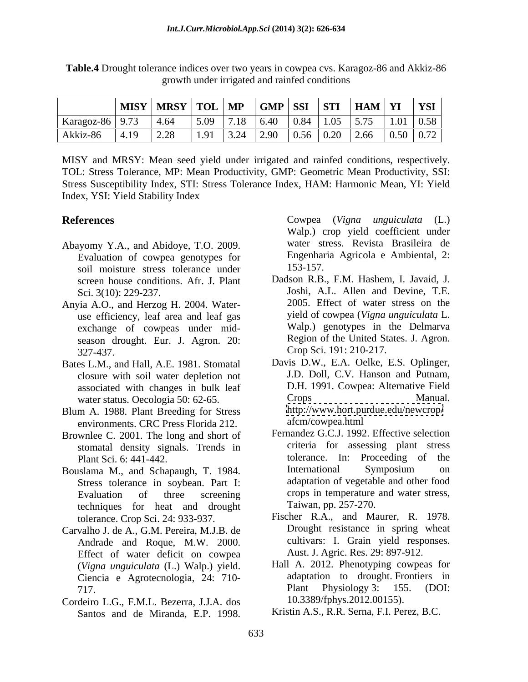**Table.4** Drought tolerance indices over two years in cowpea cvs. Karagoz-86 and Akkiz-86 growth under irrigated and rainfed conditions

MISY and MRSY: Mean seed yield under irrigated and rainfed conditions, respectively. TOL: Stress Tolerance, MP: Mean Productivity, GMP: Geometric Mean Productivity, SSI: Stress Susceptibility Index, STI: Stress Tolerance Index, HAM: Harmonic Mean, YI: Yield Index, YSI: Yield Stability Index

- Abayomy Y.A., and Abidoye, T.O. 2009. Evaluation of cowpea genotypes for Engenhar<br>soil moisture stress tolerance under 153-157. soil moisture stress tolerance under screen house conditions. Afr. J. Plant
- Anyia A.O., and Herzog H. 2004. Water use efficiency, leaf area and leaf gas exchange of cowpeas under mid season drought. Eur. J. Agron. 20: 327-437. Crop Sci. 191: 210-217.
- Bates L.M., and Hall, A.E. 1981. Stomatal closure with soil water depletion not water status. Oecologia 50: 62-65.
- Blum A. 1988. Plant Breeding for Stress environments. CRC Press Florida 212.
- Brownlee C. 2001. The long and short of stomatal density signals. Trends in
- Stress tolerance in soybean. Part I: techniques for heat and drought tolerance. Crop Sci. 24: 933-937.
- Carvalho J. de A., G.M. Pereira, M.J.B. de Andrade and Roque, M.W. 2000. Effect of water deficit on cowpea (*Vigna unguiculata* (L.) Walp.) yield. Ciencia e Agrotecnologia, 24: 710-
- Cordeiro L.G., F.M.L. Bezerra, J.J.A. dos

**References** Cowpea (Vigna unguiculata (L.) Walp.) crop yield coefficient under water stress. Revista Brasileira de Engenharia Agricola e Ambiental, 2: 153-157.

- Sci. 3(10): 229-237. Joshi, A.L. Allen and Devine, T.E. Dadson R.B., F.M. Hashem, I. Javaid, J. 2005. Effect of water stress on the yield of cowpea (*Vigna unguiculata* L. Walp.) genotypes in the Delmarva Region of the United States. J. Agron.
- associated with changes in bulk leaf D.H. 1991. Cowpea: Alternative Field<br>water status Oecologia 50: 62-65 Crops Crops Manual. Davis D.W., E.A. Oelke, E.S. Oplinger, J.D. Doll, C.V. Hanson and Putnam, D.H. 1991. Cowpea: Alternative Field Crops Manual. <http://www.hort.purdue.edu/newcrop/> afcm/cowpea.html
- Plant Sci. 6: 441-442. Bouslama M., and Schapaugh, T. 1984. Evaluation of three screening crops in temperature and water stress, **EVALUAT MANUAT CONSTRANT CONSTRANT CONSTRANT CONSTRANT CONSTRANT CONSTRANT CONSTRANT CONSTRANT CONSTRANT CONSTRANT CONSTRANT CONSTRANT CONSTRANT CONSTRANT CONSTRANT CONSTRANT CONSTRANT CONSTRANT CONSTRANT CONSTRANT CONSTR** Fernandez G.C.J. 1992. Effective selection criteria for assessing plant stress International Symposium on adaptation of vegetable and other food Taiwan, pp. 257-270.
	- Fischer R.A., and Maurer, R. 1978. Drought resistance in spring wheat cultivars: I. Grain yield responses. Aust. J. Agric. Res. 29: 897-912.
	- 717. Plant Physiology 3: 155. (DOI: Hall A. 2012. Phenotyping cowpeas for adaptation to drought. Frontiers in Plant Physiology 3: 155. (DOI: 10.3389/fphys.2012.00155).
		- Kristin A.S., R.R. Serna, F.I. Perez, B.C.